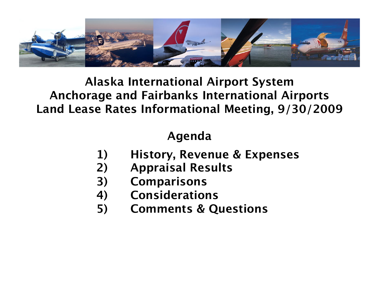

### **Alaska International Airport System Anchorage and Fairbanks International Airports Land Lease Rates Informational Meeting, 9/30/2009**

# **Agenda**

- **1) History, Revenue & Expenses**
- **2) Appraisal Results**
- **3) Comparisons**
- **4) Considerations**
- **5) Comments & Questions**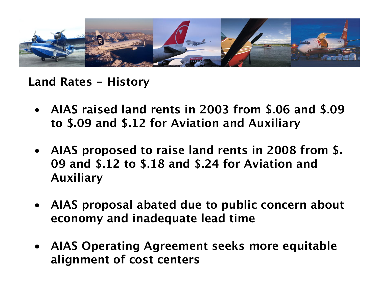

**Land Rates - History**

- **AIAS raised land rents in 2003 from \$.06 and \$.09 to \$.09 and \$.12 for Aviation and Auxiliary**
- **AIAS proposed to raise land rents in 2008 from \$. 09 and \$.12 to \$.18 and \$.24 for Aviation and Auxiliary**
- **AIAS proposal abated due to public concern about economy and inadequate lead time**
- **AIAS Operating Agreement seeks more equitable alignment of cost centers**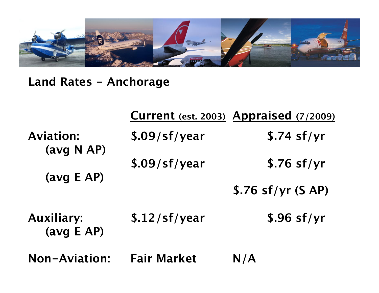

**Land Rates - Anchorage**

|                                 |                    | Current (est. 2003) Appraised (7/2009) |
|---------------------------------|--------------------|----------------------------------------|
| <b>Aviation:</b><br>(avg N AP)  | \$.09/sf/year      | \$.74 sf/yr                            |
| (avg E AP)                      | \$.09/sf/year      | $$.76$ sf/yr                           |
|                                 |                    | $$.76$ sf/yr (SAP)                     |
| <b>Auxiliary:</b><br>(avg E AP) | \$.12/sf/year      | $$.96$ sf/yr                           |
| <b>Non-Aviation:</b>            | <b>Fair Market</b> | N/A                                    |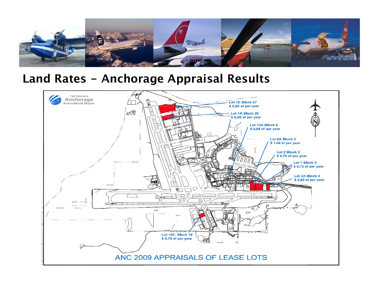

#### **Land Rates - Anchorage Appraisal Results**

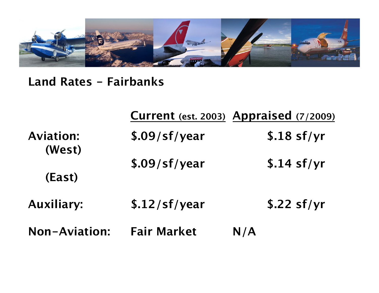

# **Land Rates - Fairbanks**

|                      | Current (est. 2003) Appraised (7/2009) |     |              |
|----------------------|----------------------------------------|-----|--------------|
| <b>Aviation:</b>     | \$.09/sf/year                          |     | $$.18$ sf/yr |
| (West)<br>(East)     | \$.09/sf/year                          |     | \$.14 sf/yr  |
| <b>Auxiliary:</b>    | \$.12/sf/year                          |     | $$.22$ sf/yr |
| <b>Non-Aviation:</b> | <b>Fair Market</b>                     | N/A |              |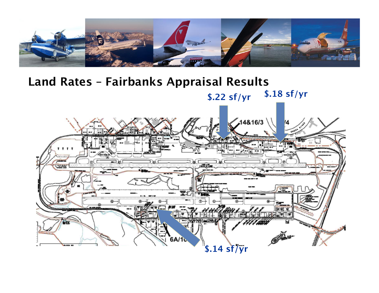

# **Land Rates – Fairbanks Appraisal Results\$.18 sf/yr \$.22 sf/yr**  $14816/3$ **PPP**  $18821$ Q. erei<br>Ethol a sa **6A/1 \$.14 sf/yr BLOCK BO**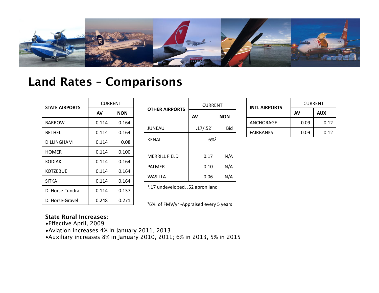

#### **Land Rates – Comparisons**

| <b>STATE AIRPORTS</b> | <b>CURRENT</b> |            |  |
|-----------------------|----------------|------------|--|
|                       | AV             | <b>NON</b> |  |
| BARROW                | 0.114          | 0.164      |  |
| <b>BFTHFL</b>         | 0.114          | 0.164      |  |
| DILLINGHAM            | 0.114          | 0.08       |  |
| HOMER                 | 0.114          | 0.100      |  |
| KODIAK                | 0.114          | 0.164      |  |
| KOTZEBUE              | 0.114          | 0.164      |  |
| <b>SITKA</b>          | 0.114          | 0.164      |  |
| D. Horse-Tundra       | 0.114          | 0.137      |  |
| D. Horse-Gravel       | 0.248          | 0.271      |  |

| <b>OTHER AIRPORTS</b> | <b>CURRENT</b>       |            |  |
|-----------------------|----------------------|------------|--|
|                       | AV                   | <b>NON</b> |  |
| <b>JUNEAU</b>         | .17/.52 <sup>1</sup> | Bid        |  |
| <b>KENAI</b>          | $6\%$ <sup>2</sup>   |            |  |
| <b>MERRILL FIELD</b>  | 0.17                 | N/A        |  |
| <b>PALMER</b>         | 0.10                 | N/A        |  |
| <b>WASILLA</b>        | 0.06                 | N/A        |  |

1.17 undeveloped, .52 apron land

<sup>2</sup>6% of FMV/yr -Appraised every 5 years

#### **State Rural Increases:**

- Effective April, 2009
- •Aviation increases 4% in January 2011, 2013

•Auxiliary increases 8% in January 2010, 2011; 6% in 2013, 5% in 2015

| <b>INTL AIRPORTS</b> | <b>CURRENT</b> |      |  |
|----------------------|----------------|------|--|
|                      | AV             | AUX  |  |
| ANCHORAGE            | 0.09           | 0.12 |  |
| <b>FAIRBANKS</b>     | 0.09           | 0.12 |  |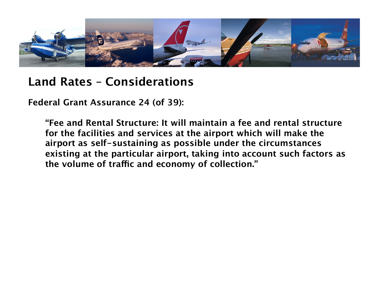

### **Land Rates – Considerations**

**Federal Grant Assurance 24 (of 39):** 

**"Fee and Rental Structure: It will maintain a fee and rental structure for the facilities and services at the airport which will make the airport as self-sustaining as possible under the circumstances existing at the particular airport, taking into account such factors as the volume of tra"c and economy of collection."**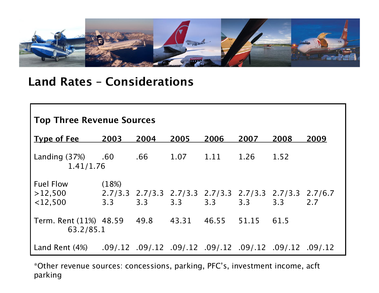

### **Land Rates – Considerations**

| <b>Top Three Revenue Sources</b>                           |              |                                                                |                 |      |      |      |      |
|------------------------------------------------------------|--------------|----------------------------------------------------------------|-----------------|------|------|------|------|
| <b>Type of Fee</b>                                         | 2003         | 2004                                                           | 2005            | 2006 | 2007 | 2008 | 2009 |
| Landing $(37%)$ .60<br>1.41/1.76                           |              |                                                                | $.66$ 1.07 1.11 |      | 1.26 | 1.52 |      |
| <b>Fuel Flow</b><br>>12,500<br>$<$ 12,500                  | (18%)<br>3.3 | 2.7/3.3 2.7/3.3 2.7/3.3 2.7/3.3 2.7/3.3 2.7/3.3 2.7/6.7<br>3.3 | 3.3             | 3.3  | 3.3  | 3.3  | 2.7  |
| Term. Rent (11%) 48.59 49.8 43.31 46.55 51.15<br>63.2/85.1 |              |                                                                |                 |      |      | 61.5 |      |
| Land Rent (4%)                                             |              | .09/.12 .09/.12 .09/.12 .09/.12 .09/.12 .09/.12 .09/.12        |                 |      |      |      |      |

\*Other revenue sources: concessions, parking, PFC's, investment income, acft parking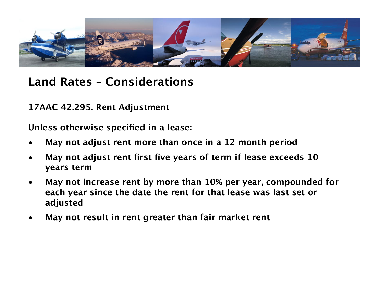

# **Land Rates – Considerations**

**17AAC 42.295. Rent Adjustment**

**Unless otherwise specified in a lease:**

- **May not adjust rent more than once in a 12 month period**
- **May not adjust rent first five years of term if lease exceeds 10 years term**
- **May not increase rent by more than 10% per year, compounded for each year since the date the rent for that lease was last set or adjusted**
- **May not result in rent greater than fair market rent**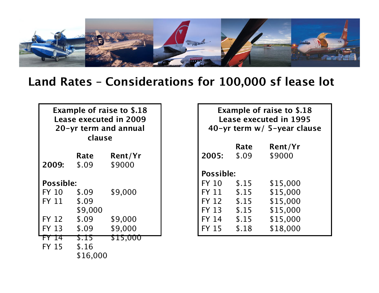

#### **Land Rates – Considerations for 100,000 sf lease lot**

| <b>Example of raise to \$.18</b><br><b>Lease executed in 2009</b><br>20-yr term and annual<br>clause |                 |          |  |  |  |
|------------------------------------------------------------------------------------------------------|-----------------|----------|--|--|--|
|                                                                                                      | Rate<br>Rent/Yr |          |  |  |  |
| 2009:                                                                                                | \$.09           | \$9000   |  |  |  |
|                                                                                                      | Possible:       |          |  |  |  |
| FY 10                                                                                                | \$.09           | \$9,000  |  |  |  |
| FY 11                                                                                                | \$.09           |          |  |  |  |
|                                                                                                      | \$9,000         |          |  |  |  |
| <b>FY 12</b>                                                                                         | \$.09           | \$9,000  |  |  |  |
| <b>FY 13</b>                                                                                         | \$.09           | \$9,000  |  |  |  |
| FY 14                                                                                                | <b>S.I5</b>     | \$15,000 |  |  |  |
| FY 15                                                                                                | \$.16           |          |  |  |  |
| \$16,000                                                                                             |                 |          |  |  |  |

| <b>Example of raise to \$.18</b><br><b>Lease executed in 1995</b><br>40-yr term w/ 5-year clause |       |          |  |  |
|--------------------------------------------------------------------------------------------------|-------|----------|--|--|
|                                                                                                  | Rate  | Rent/Yr  |  |  |
| 2005:                                                                                            | \$.09 | \$9000   |  |  |
| Possible:                                                                                        |       |          |  |  |
| <b>FY 10</b>                                                                                     | \$.15 | \$15,000 |  |  |
| FY 11                                                                                            | \$.15 | \$15,000 |  |  |
| <b>FY 12</b>                                                                                     | \$.15 | \$15,000 |  |  |
| FY 13                                                                                            | \$.15 | \$15,000 |  |  |
| FY 14                                                                                            | \$.15 | \$15,000 |  |  |
| <b>FY 15</b>                                                                                     | \$.18 | \$18,000 |  |  |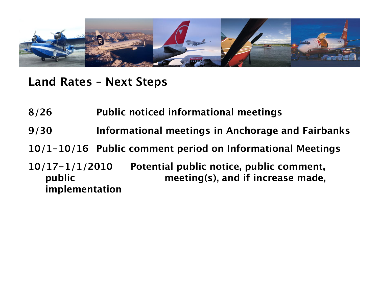

**Land Rates – Next Steps**

- **8/26 Public noticed informational meetings**
- **9/30 Informational meetings in Anchorage and Fairbanks**
- **10/1-10/16 Public comment period on Informational Meetings**
- **10/17-1/1/2010 Potential public notice, public comment, public meeting(s), and if increase made, implementation**